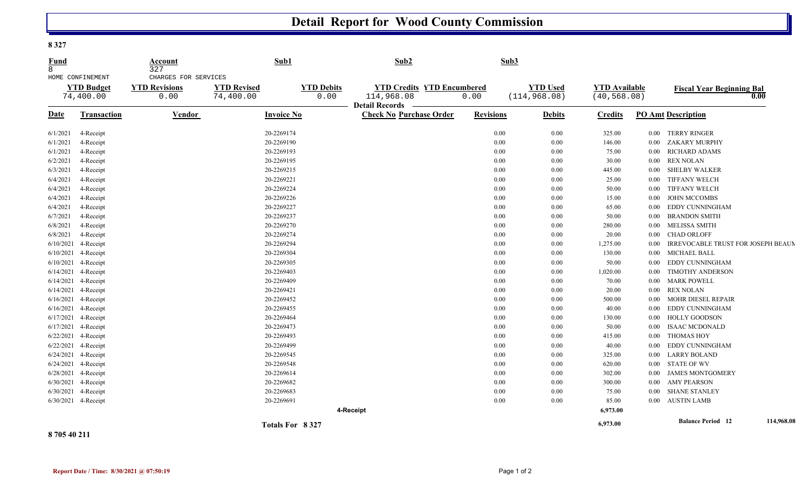## **Detail Report for Wood County Commission**

**8 327** 

| Fund<br>$\mathsf{B}$<br>HOME CONFINEMENT<br><b>YTD Budget</b><br>74,400.00 |                     | Account<br>327                                       | Sub1                                                         |                 | Sub2                                                                             |                  | Sub3                             |                                      |          |                                          |            |
|----------------------------------------------------------------------------|---------------------|------------------------------------------------------|--------------------------------------------------------------|-----------------|----------------------------------------------------------------------------------|------------------|----------------------------------|--------------------------------------|----------|------------------------------------------|------------|
|                                                                            |                     | CHARGES FOR SERVICES<br><b>YTD Revisions</b><br>0.00 | <b>YTD Revised</b><br><b>YTD Debits</b><br>74,400.00<br>0.00 |                 | <b>YTD Credits YTD Encumbered</b><br>114,968.08<br>0.00<br><b>Detail Records</b> |                  | <b>YTD Used</b><br>(114, 968.08) | <b>YTD Available</b><br>(40, 568.08) |          | <b>Fiscal Year Beginning Bal</b><br>0.00 |            |
| <b>Date</b>                                                                | <b>Transaction</b>  | Vendor                                               | <b>Invoice No</b>                                            |                 | <b>Check No Purchase Order</b>                                                   | <b>Revisions</b> | <b>Debits</b>                    | <b>Credits</b>                       |          | <b>PO Amt Description</b>                |            |
| 6/1/2021                                                                   | 4-Receipt           |                                                      | 20-2269174                                                   |                 |                                                                                  | 0.00             | 0.00                             | 325.00                               | $0.00\,$ | TERRY RINGER                             |            |
| 6/1/2021                                                                   | 4-Receipt           |                                                      | 20-2269190                                                   |                 |                                                                                  | 0.00             | 0.00                             | 146.00                               | $0.00\,$ | ZAKARY MURPHY                            |            |
| 6/1/2021                                                                   | 4-Receipt           |                                                      | 20-2269193                                                   |                 |                                                                                  | 0.00             | 0.00                             | 75.00                                | 0.00     | <b>RICHARD ADAMS</b>                     |            |
| 6/2/2021                                                                   | 4-Receipt           |                                                      | 20-2269195                                                   |                 |                                                                                  | 0.00             | 0.00                             | 30.00                                | $0.00\,$ | <b>REX NOLAN</b>                         |            |
| 6/3/2021                                                                   | 4-Receipt           |                                                      | 20-2269215                                                   |                 |                                                                                  | 0.00             | 0.00                             | 445.00                               | $0.00\,$ | <b>SHELBY WALKER</b>                     |            |
| 6/4/2021                                                                   | 4-Receipt           |                                                      | 20-2269221                                                   |                 |                                                                                  | 0.00             | 0.00                             | 25.00                                | $0.00\,$ | <b>TIFFANY WELCH</b>                     |            |
| 6/4/2021                                                                   | 4-Receipt           |                                                      | 20-2269224                                                   |                 |                                                                                  | 0.00             | 0.00                             | 50.00                                | $0.00\,$ | <b>TIFFANY WELCH</b>                     |            |
| 6/4/2021                                                                   | 4-Receipt           |                                                      | 20-2269226                                                   |                 |                                                                                  | 0.00             | 0.00                             | 15.00                                | $0.00\,$ | <b>JOHN MCCOMBS</b>                      |            |
| 6/4/2021                                                                   | 4-Receipt           |                                                      | 20-2269227                                                   |                 |                                                                                  | 0.00             | 0.00                             | 65.00                                | $0.00\,$ | EDDY CUNNINGHAM                          |            |
| 6/7/2021                                                                   | 4-Receipt           |                                                      | 20-2269237                                                   |                 |                                                                                  | 0.00             | 0.00                             | 50.00                                | $0.00\,$ | <b>BRANDON SMITH</b>                     |            |
| 6/8/2021                                                                   | 4-Receipt           |                                                      | 20-2269270                                                   |                 |                                                                                  | 0.00             | 0.00                             | 280.00                               | $0.00\,$ | MELISSA SMITH                            |            |
| 6/8/2021                                                                   | 4-Receipt           |                                                      | 20-2269274                                                   |                 |                                                                                  | 0.00             | 0.00                             | 20.00                                | $0.00\,$ | <b>CHAD ORLOFF</b>                       |            |
| 6/10/2021                                                                  | 4-Receipt           |                                                      | 20-2269294                                                   |                 |                                                                                  | 0.00             | 0.00                             | 1,275.00                             | $0.00\,$ | IRREVOCABLE TRUST FOR JOSEPH BEAUM       |            |
| 6/10/2021                                                                  | 4-Receipt           |                                                      | 20-2269304                                                   |                 |                                                                                  | 0.00             | 0.00                             | 130.00                               | $0.00\,$ | <b>MICHAEL BALL</b>                      |            |
|                                                                            | 6/10/2021 4-Receipt |                                                      | 20-2269305                                                   |                 |                                                                                  | 0.00             | 0.00                             | 50.00                                | $0.00\,$ | EDDY CUNNINGHAM                          |            |
|                                                                            | 6/14/2021 4-Receipt |                                                      | 20-2269403                                                   |                 |                                                                                  | 0.00             | 0.00                             | 1,020.00                             | $0.00\,$ | TIMOTHY ANDERSON                         |            |
|                                                                            | 6/14/2021 4-Receipt |                                                      | 20-2269409                                                   |                 |                                                                                  | 0.00             | 0.00                             | 70.00                                | $0.00\,$ | <b>MARK POWELL</b>                       |            |
|                                                                            | 6/14/2021 4-Receipt |                                                      | 20-2269421                                                   |                 |                                                                                  | 0.00             | 0.00                             | 20.00                                | 0.00     | <b>REX NOLAN</b>                         |            |
| 6/16/2021                                                                  | 4-Receipt           |                                                      | 20-2269452                                                   |                 |                                                                                  | 0.00             | 0.00                             | 500.00                               | $0.00\,$ | <b>MOHR DIESEL REPAIR</b>                |            |
|                                                                            | 6/16/2021 4-Receipt |                                                      | 20-2269455                                                   |                 |                                                                                  | 0.00             | 0.00                             | 40.00                                | $0.00\,$ | EDDY CUNNINGHAM                          |            |
|                                                                            | 6/17/2021 4-Receipt |                                                      | 20-2269464                                                   |                 |                                                                                  | 0.00             | 0.00                             | 130.00                               | $0.00\,$ | <b>HOLLY GOODSON</b>                     |            |
|                                                                            | 6/17/2021 4-Receipt |                                                      | 20-2269473                                                   |                 |                                                                                  | 0.00             | 0.00                             | 50.00                                | $0.00\,$ | <b>ISAAC MCDONALD</b>                    |            |
|                                                                            | 6/22/2021 4-Receipt |                                                      | 20-2269493                                                   |                 |                                                                                  | 0.00             | 0.00                             | 415.00                               | $0.00\,$ | <b>THOMAS HOY</b>                        |            |
|                                                                            | 6/22/2021 4-Receipt |                                                      | 20-2269499                                                   |                 |                                                                                  | 0.00             | 0.00                             | 40.00                                | 0.00     | EDDY CUNNINGHAM                          |            |
|                                                                            | 6/24/2021 4-Receipt |                                                      | 20-2269545                                                   |                 |                                                                                  | 0.00             | 0.00                             | 325.00                               | $0.00\,$ | <b>LARRY BOLAND</b>                      |            |
|                                                                            | 6/24/2021 4-Receipt |                                                      | 20-2269548                                                   |                 |                                                                                  | 0.00             | 0.00                             | 620.00                               | $0.00\,$ | STATE OF WV                              |            |
|                                                                            | 6/28/2021 4-Receipt |                                                      | 20-2269614                                                   |                 |                                                                                  | 0.00             | 0.00                             | 302.00                               | $0.00\,$ | <b>JAMES MONTGOMERY</b>                  |            |
|                                                                            | 6/30/2021 4-Receipt |                                                      | 20-2269682                                                   |                 |                                                                                  | 0.00             | 0.00                             | 300.00                               | $0.00\,$ | <b>AMY PEARSON</b>                       |            |
|                                                                            | 6/30/2021 4-Receipt |                                                      | 20-2269683                                                   |                 |                                                                                  | 0.00             | 0.00                             | 75.00                                | $0.00\,$ | <b>SHANE STANLEY</b>                     |            |
|                                                                            | 6/30/2021 4-Receipt |                                                      | 20-2269691                                                   |                 |                                                                                  | 0.00             | 0.00                             | 85.00                                | 0.00     | <b>AUSTIN LAMB</b>                       |            |
|                                                                            |                     |                                                      |                                                              |                 | 4-Receipt                                                                        |                  |                                  | 6,973.00                             |          |                                          |            |
|                                                                            |                     |                                                      |                                                              | Totals For 8327 |                                                                                  |                  |                                  | 6,973.00                             |          | <b>Balance Period</b> 12                 | 114,968.08 |
|                                                                            |                     |                                                      |                                                              |                 |                                                                                  |                  |                                  |                                      |          |                                          |            |

**8 705 40 211**